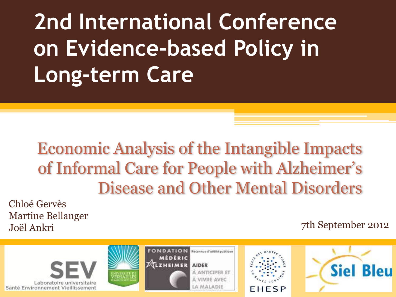**2nd International Conference on Evidence-based Policy in Long-term Care**

#### Economic Analysis of the Intangible Impacts of Informal Care for People with Alzheimer's Disease and Other Mental Disorders

Chloé Gervès Martine Bellanger

#### Joël Ankri 7th September 2012

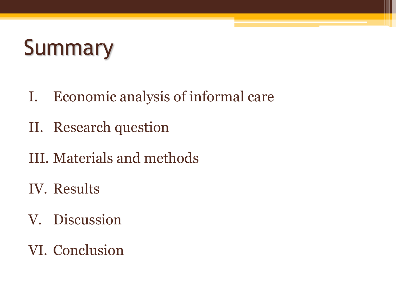# **Summary**

- I. Economic analysis of informal care
- II. Research question
- III. Materials and methods
- IV. Results
- V. Discussion
- VI. Conclusion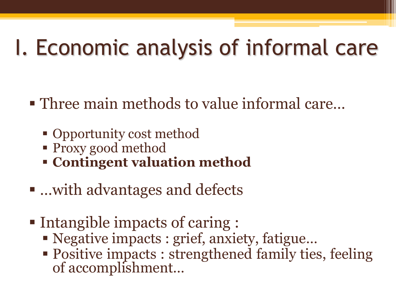# I. Economic analysis of informal care

- Three main methods to value informal care...
	- Opportunity cost method
	- Proxy good method
	- **Contingent valuation method**
- …with advantages and defects
- Intangible impacts of caring :
	- Negative impacts : grief, anxiety, fatigue…
	- Positive impacts : strengthened family ties, feeling of accomplishment…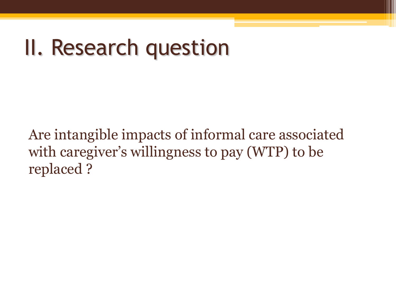## II. Research question

Are intangible impacts of informal care associated with caregiver's willingness to pay (WTP) to be replaced ?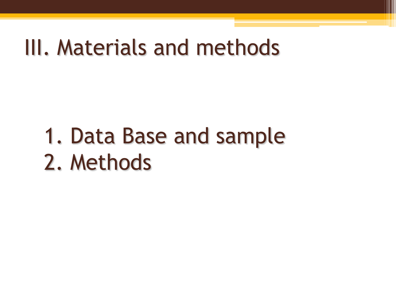#### III. Materials and methods

# 1. Data Base and sample 2. Methods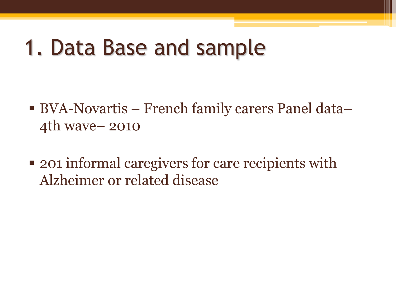#### 1. Data Base and sample

- BVA-Novartis French family carers Panel data– 4th wave– 2010
- 201 informal caregivers for care recipients with Alzheimer or related disease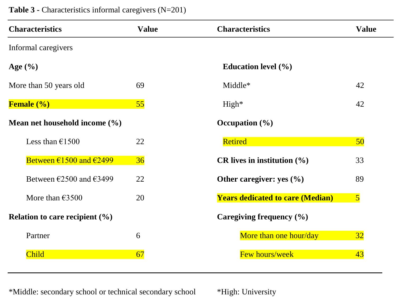| <b>Characteristics</b>                      | <b>Value</b> | <b>Characteristics</b>                  | <b>Value</b>            |
|---------------------------------------------|--------------|-----------------------------------------|-------------------------|
| Informal caregivers                         |              |                                         |                         |
| Age $(\% )$                                 |              | Education level $(\% )$                 |                         |
| More than 50 years old                      | 69           | Middle*                                 | 42                      |
| <b>Female</b> (%)                           | 55           | $High*$                                 | 42                      |
| Mean net household income $(\% )$           |              | Occupation $(\% )$                      |                         |
| Less than $£1500$                           | 22           | <b>Retired</b>                          | 50                      |
| Between $\epsilon$ 1500 and $\epsilon$ 2499 | 36           | CR lives in institution $(\% )$         | 33                      |
| Between $\epsilon$ 2500 and $\epsilon$ 3499 | 22           | Other caregiver: yes $(\% )$            | 89                      |
| More than $\epsilon$ 3500                   | 20           | <b>Years dedicated to care (Median)</b> | $\overline{\mathbf{5}}$ |
| Relation to care recipient $(\% )$          |              | Caregiving frequency (%)                |                         |
| Partner                                     | 6            | More than one hour/day                  | 32                      |
| Child                                       | 67           | Few hours/week                          | 43                      |

**Table 3 -** Characteristics informal caregivers (N=201)

\*Middle: secondary school or technical secondary school \*High: University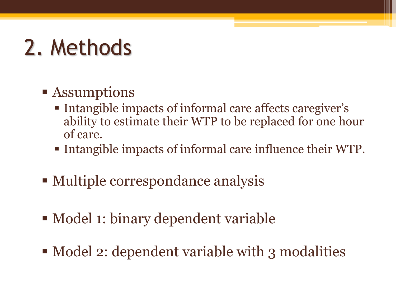# 2. Methods

#### **Example 1** Assumptions

- Intangible impacts of informal care affects caregiver's ability to estimate their WTP to be replaced for one hour of care.
- Intangible impacts of informal care influence their WTP.
- Multiple correspondance analysis
- Model 1: binary dependent variable
- Model 2: dependent variable with 3 modalities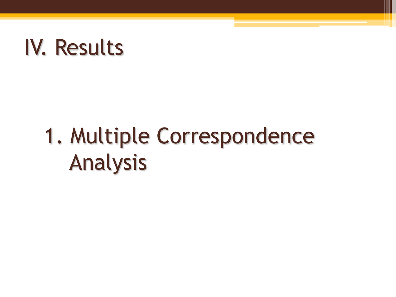## IV. Results

# 1. Multiple Correspondence Analysis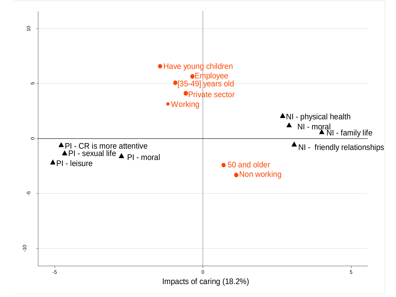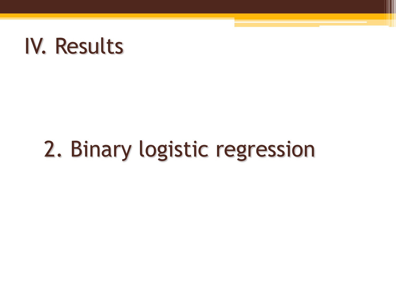### IV. Results

# 2. Binary logistic regression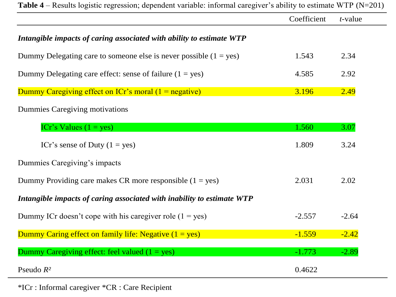|                                                                        | Coefficient | $t$ -value |
|------------------------------------------------------------------------|-------------|------------|
| Intangible impacts of caring associated with ability to estimate WTP   |             |            |
| Dummy Delegating care to someone else is never possible $(1 = yes)$    | 1.543       | 2.34       |
| Dummy Delegating care effect: sense of failure $(1 = yes)$             | 4.585       | 2.92       |
| Dummy Caregiving effect on $ICr$ 's moral $(1 = \text{negative})$      | 3.196       | 2.49       |
| Dummies Caregiving motivations                                         |             |            |
| ICr's Values $(1 = yes)$                                               | 1.560       | 3.07       |
| ICr's sense of Duty $(1 = yes)$                                        | 1.809       | 3.24       |
| Dummies Caregiving's impacts                                           |             |            |
| Dummy Providing care makes CR more responsible $(1 = yes)$             | 2.031       | 2.02       |
| Intangible impacts of caring associated with inability to estimate WTP |             |            |
| Dummy ICr doesn't cope with his caregiver role $(1 = yes)$             | $-2.557$    | $-2.64$    |
| Dummy Caring effect on family life: Negative $(1 = yes)$               | $-1.559$    | $-2.42$    |
| Dummy Caregiving effect: feel valued $(1 = yes)$                       | $-1.773$    | $-2.89$    |
| Pseudo $R^2$                                                           | 0.4622      |            |

\*ICr : Informal caregiver \*CR : Care Recipient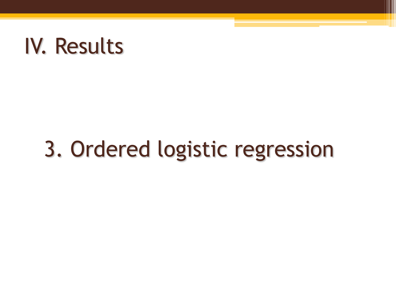### IV. Results

# 3. Ordered logistic regression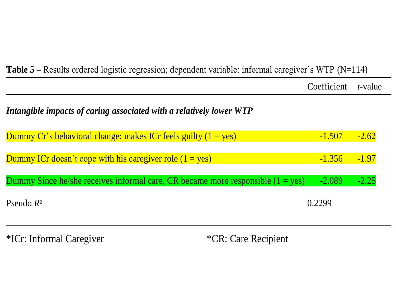| <b>Table 5</b> – Results ordered logistic regression; dependent variable: informal caregiver's WTP ( $N=114$ ) |             |                 |  |  |
|----------------------------------------------------------------------------------------------------------------|-------------|-----------------|--|--|
|                                                                                                                | Coefficient | <i>t</i> -value |  |  |
| Intangible impacts of caring associated with a relatively lower WTP                                            |             |                 |  |  |
| Dummy Cr's behavioral change: makes ICr feels guilty $(1 = yes)$                                               | $-1.507$    | $-2.62$         |  |  |
| Dummy ICr doesn't cope with his caregiver role $(1 = yes)$                                                     | $-1.356$    | $-1.97$         |  |  |
| Dummy Since he/she receives informal care, CR became more responsible $(1 = yes)$                              | $-2.089$    | $-2.25$         |  |  |
| Pseudo $R^2$                                                                                                   | 0.2299      |                 |  |  |

\*ICr: Informal Caregiver \*CR: Care Recipient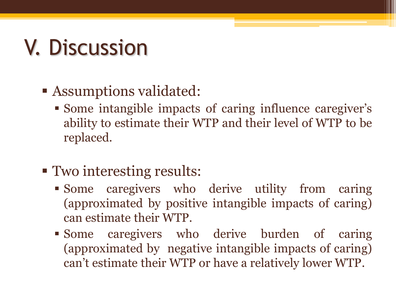# V. Discussion

#### Assumptions validated:

- Some intangible impacts of caring influence caregiver's ability to estimate their WTP and their level of WTP to be replaced.
- **Two interesting results:** 
	- Some caregivers who derive utility from caring (approximated by positive intangible impacts of caring) can estimate their WTP.
	- Some caregivers who derive burden of caring (approximated by negative intangible impacts of caring) can't estimate their WTP or have a relatively lower WTP.